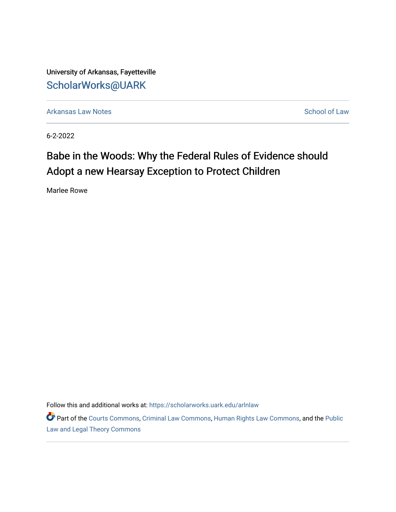University of Arkansas, Fayetteville [ScholarWorks@UARK](https://scholarworks.uark.edu/) 

[Arkansas Law Notes](https://scholarworks.uark.edu/arlnlaw) **School of Law** Arkansas Law Notes [School of Law](https://scholarworks.uark.edu/law) School of Law

6-2-2022

# Babe in the Woods: Why the Federal Rules of Evidence should Adopt a new Hearsay Exception to Protect Children

Marlee Rowe

Follow this and additional works at: [https://scholarworks.uark.edu/arlnlaw](https://scholarworks.uark.edu/arlnlaw?utm_source=scholarworks.uark.edu%2Farlnlaw%2F11&utm_medium=PDF&utm_campaign=PDFCoverPages)

Part of the [Courts Commons,](https://network.bepress.com/hgg/discipline/839?utm_source=scholarworks.uark.edu%2Farlnlaw%2F11&utm_medium=PDF&utm_campaign=PDFCoverPages) [Criminal Law Commons](https://network.bepress.com/hgg/discipline/912?utm_source=scholarworks.uark.edu%2Farlnlaw%2F11&utm_medium=PDF&utm_campaign=PDFCoverPages), [Human Rights Law Commons](https://network.bepress.com/hgg/discipline/847?utm_source=scholarworks.uark.edu%2Farlnlaw%2F11&utm_medium=PDF&utm_campaign=PDFCoverPages), and the [Public](https://network.bepress.com/hgg/discipline/871?utm_source=scholarworks.uark.edu%2Farlnlaw%2F11&utm_medium=PDF&utm_campaign=PDFCoverPages)  [Law and Legal Theory Commons](https://network.bepress.com/hgg/discipline/871?utm_source=scholarworks.uark.edu%2Farlnlaw%2F11&utm_medium=PDF&utm_campaign=PDFCoverPages)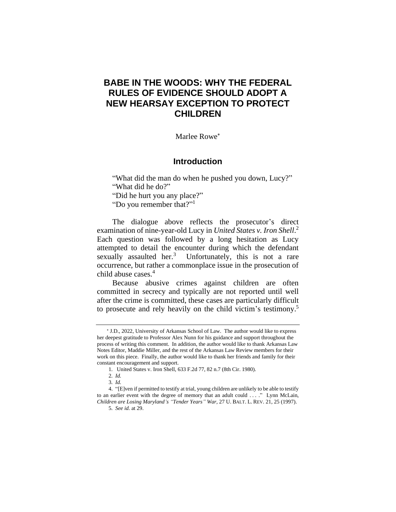# **BABE IN THE WOODS: WHY THE FEDERAL RULES OF EVIDENCE SHOULD ADOPT A NEW HEARSAY EXCEPTION TO PROTECT CHILDREN**

Marlee Rowe

# **Introduction**

"What did the man do when he pushed you down, Lucy?" "What did he do?"

"Did he hurt you any place?"

"Do you remember that?"<sup>1</sup>

The dialogue above reflects the prosecutor's direct examination of nine-year-old Lucy in *United States v. Iron Shell*. 2 Each question was followed by a long hesitation as Lucy attempted to detail the encounter during which the defendant sexually assaulted her.<sup>3</sup> Unfortunately, this is not a rare occurrence, but rather a commonplace issue in the prosecution of child abuse cases.<sup>4</sup>

Because abusive crimes against children are often committed in secrecy and typically are not reported until well after the crime is committed, these cases are particularly difficult to prosecute and rely heavily on the child victim's testimony. 5

 J.D., 2022, University of Arkansas School of Law. The author would like to express her deepest gratitude to Professor Alex Nunn for his guidance and support throughout the process of writing this comment. In addition, the author would like to thank Arkansas Law Notes Editor, Maddie Miller, and the rest of the Arkansas Law Review members for their work on this piece. Finally, the author would like to thank her friends and family for their constant encouragement and support.

<sup>1</sup>*.* United States v. Iron Shell, 633 F.2d 77, 82 n.7 (8th Cir. 1980).

<sup>2</sup>*. Id.*

<sup>3</sup>*. Id.*

<sup>4.</sup> "[E]ven if permitted to testify at trial, young children are unlikely to be able to testify to an earlier event with the degree of memory that an adult could . . . ." Lynn McLain, *Children are Losing Maryland's "Tender Years" War*, 27 U. BALT. L. REV. 21, 25 (1997).

<sup>5</sup>*. See id.* at 29.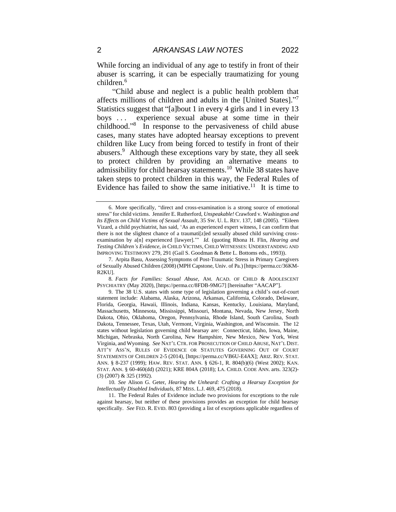While forcing an individual of any age to testify in front of their abuser is scarring, it can be especially traumatizing for young children.<sup>6</sup>

"Child abuse and neglect is a public health problem that affects millions of children and adults in the [United States]."7 Statistics suggest that "[a]bout 1 in every 4 girls and 1 in every 13 boys . . . experience sexual abuse at some time in their childhood." 8 In response to the pervasiveness of child abuse cases, many states have adopted hearsay exceptions to prevent children like Lucy from being forced to testify in front of their abusers.<sup>9</sup> Although these exceptions vary by state, they all seek to protect children by providing an alternative means to admissibility for child hearsay statements.<sup>10</sup> While 38 states have taken steps to protect children in this way, the Federal Rules of Evidence has failed to show the same initiative.<sup>11</sup> It is time to

8*. Facts for Families: Sexual Abuse*, AM. ACAD. OF CHILD & ADOLESCENT PSYCHIATRY (May 2020), [https://perma.cc/8FDB-9MG7] [hereinafter "AACAP"].

10*. See* Alison G. Geter, *Hearing the Unheard: Crafting a Hearsay Exception for Intellectually Disabled Individuals,* 87 MISS. L.J. 469, 475 (2018).

11. The Federal Rules of Evidence include two provisions for exceptions to the rule against hearsay, but neither of these provisions provides an exception for child hearsay specifically. *See* FED. R. EVID. 803 (providing a list of exceptions applicable regardless of

<sup>6.</sup> More specifically, "direct and cross-examination is a strong source of emotional stress" for child victims. Jennifer E. Rutherford, *Unspeakable!* Crawford v. Washington *and Its Effects on Child Victims of Sexual Assault*, 35 SW. U. L. REV. 137, 148 (2005). "Eileen Vizard, a child psychiatrist, has said, 'As an experienced expert witness, I can confirm that there is not the slightest chance of a traumati[z]ed sexually abused child surviving crossexamination by a[n] experienced [lawyer].'" *Id.* (quoting Rhona H. Flin, *Hearing and Testing Children's Evidence, in* CHILD VICTIMS, CHILD WITNESSES: UNDERSTANDING AND IMPROVING TESTIMONY 279, 291 (Gail S. Goodman & Bette L. Bottoms eds., 1993)).

<sup>7.</sup> Arpita Basu, Assessing Symptoms of Post-Traumatic Stress in Primary Caregivers of Sexually Abused Children (2008) (MPH Capstone, Univ. of Pa.) [https://perma.cc/36KM-R2KU].

<sup>9.</sup> The 38 U.S. states with some type of legislation governing a child's out-of-court statement include: Alabama, Alaska, Arizona, Arkansas, California, Colorado, Delaware, Florida, Georgia, Hawaii, Illinois, Indiana, Kansas, Kentucky, Louisiana, Maryland, Massachusetts, Minnesota, Mississippi, Missouri, Montana, Nevada, New Jersey, North Dakota, Ohio, Oklahoma, Oregon, Pennsylvania, Rhode Island, South Carolina, South Dakota, Tennessee, Texas, Utah, Vermont, Virginia, Washington, and Wisconsin. The 12 states without legislation governing child hearsay are: Connecticut, Idaho, Iowa, Maine, Michigan, Nebraska, North Carolina, New Hampshire, New Mexico, New York, West Virginia, and Wyoming. *See* NAT'LCTR. FOR PROSECUTION OF CHILD ABUSE, NAT'L DIST. ATT'Y ASS'N, RULES OF EVIDENCE OR STATUTES GOVERNING OUT OF COURT STATEMENTS OF CHILDREN 2-5 (2014), [https://perma.cc/VB6U-E4AX]; ARIZ. REV. STAT. ANN. § 8-237 (1999); HAW. REV. STAT. ANN. § 626-1, R. 804(b)(6) (West 2002); KAN. STAT. ANN. § 60-460(dd) (2021); KRE 804A (2018); LA. CHILD. CODE ANN. arts. 323(2)- (3) (2007) & 325 (1992).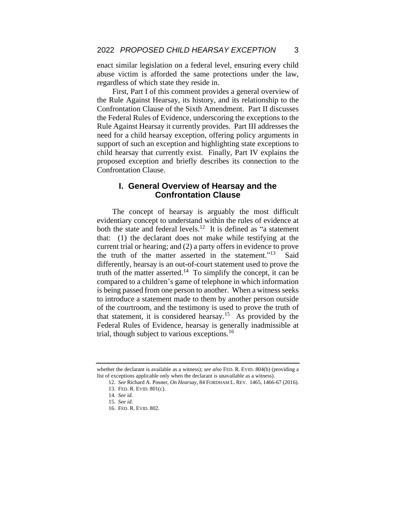enact similar legislation on a federal level, ensuring every child abuse victim is afforded the same protections under the law, regardless of which state they reside in.

First, Part I of this comment provides a general overview of the Rule Against Hearsay, its history, and its relationship to the Confrontation Clause of the Sixth Amendment. Part II discusses the Federal Rules of Evidence, underscoring the exceptions to the Rule Against Hearsay it currently provides. Part III addresses the need for a child hearsay exception, offering policy arguments in support of such an exception and highlighting state exceptions to child hearsay that currently exist. Finally, Part IV explains the proposed exception and briefly describes its connection to the Confrontation Clause.

#### **I. General Overview of Hearsay and the Confrontation Clause**

The concept of hearsay is arguably the most difficult evidentiary concept to understand within the rules of evidence at both the state and federal levels.<sup>12</sup> It is defined as "a statement" that: (1) the declarant does not make while testifying at the current trial or hearing; and (2) a party offers in evidence to prove the truth of the matter asserted in the statement."<sup>13</sup> **Said** differently, hearsay is an out-of-court statement used to prove the truth of the matter asserted.<sup>14</sup> To simplify the concept, it can be compared to a children's game of telephone in which information is being passed from one person to another. When a witness seeks to introduce a statement made to them by another person outside of the courtroom, and the testimony is used to prove the truth of that statement, it is considered hearsay.<sup>15</sup> As provided by the Federal Rules of Evidence, hearsay is generally inadmissible at trial, though subject to various exceptions.<sup>16</sup>

whether the declarant is available as a witness); *see also* FED. R. EVID. 804(b) (providing a list of exceptions applicable only when the declarant is unavailable as a witness).

<sup>12</sup>*. See* Richard A. Posner, *On Hearsay*, 84 FORDHAM L. REV. 1465, 1466-67 (2016). 13. FED. R. EVID. 801(c).

<sup>14</sup>*. See id.* 15*. See id.*

<sup>16.</sup> FED. R. EVID. 802.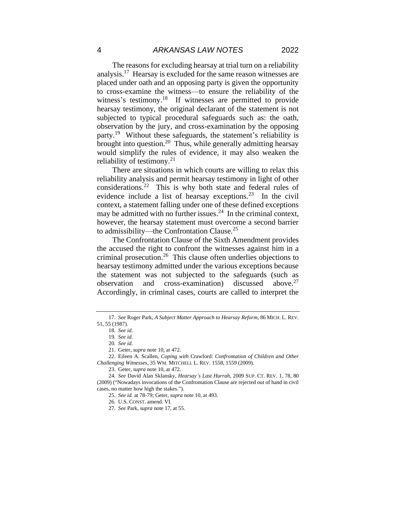The reasons for excluding hearsay at trial turn on a reliability analysis.<sup>17</sup> Hearsay is excluded for the same reason witnesses are placed under oath and an opposing party is given the opportunity to cross-examine the witness—to ensure the reliability of the witness's testimony.<sup>18</sup> If witnesses are permitted to provide hearsay testimony, the original declarant of the statement is not subjected to typical procedural safeguards such as: the oath, observation by the jury, and cross-examination by the opposing party.<sup>19</sup> Without these safeguards, the statement's reliability is brought into question.<sup>20</sup> Thus, while generally admitting hearsay would simplify the rules of evidence, it may also weaken the reliability of testimony. $^{21}$ 

There are situations in which courts are willing to relax this reliability analysis and permit hearsay testimony in light of other considerations.<sup>22</sup> This is why both state and federal rules of evidence include a list of hearsay exceptions.<sup>23</sup> In the civil context, a statement falling under one of these defined exceptions may be admitted with no further issues.<sup>24</sup> In the criminal context, however, the hearsay statement must overcome a second barrier to admissibility—the Confrontation Clause.<sup>25</sup>

The Confrontation Clause of the Sixth Amendment provides the accused the right to confront the witnesses against him in a criminal prosecution.<sup>26</sup> This clause often underlies objections to hearsay testimony admitted under the various exceptions because the statement was not subjected to the safeguards (such as observation and cross-examination) discussed above.<sup>27</sup> Accordingly, in criminal cases, courts are called to interpret the

<sup>17</sup>*. See* Roger Park, *A Subject Matter Approach to Hearsay Reform*, 86 MICH. L. REV. 51, 55 (1987).

<sup>18</sup>*. See id.* 

<sup>19</sup>*. See id.*

<sup>20</sup>*. See id.*

<sup>21.</sup> Geter, *supra* note 10, at 472.

<sup>22.</sup> Eileen A. Scallen, *Coping with* Crawford: *Confrontation of Children and Other Challenging Witnesses*, 35 WM. MITCHELL L. REV. 1558, 1559 (2009).

<sup>23.</sup> Geter, *supra* note 10, at 472.

<sup>24</sup>*. See* David Alan Sklansky, *Hearsay's Last Hurrah*, 2009 SUP. CT. REV. 1, 78, 80 (2009) ("Nowadays invocations of the Confrontation Clause are rejected out of hand in civil cases, no matter how high the stakes.").

<sup>25</sup>*. See id.* at 78-79; Geter, *supra* note 10, at 493.

<sup>26.</sup> U.S. CONST. amend. VI.

<sup>27</sup>*. See* Park, *supra* note 17, at 55.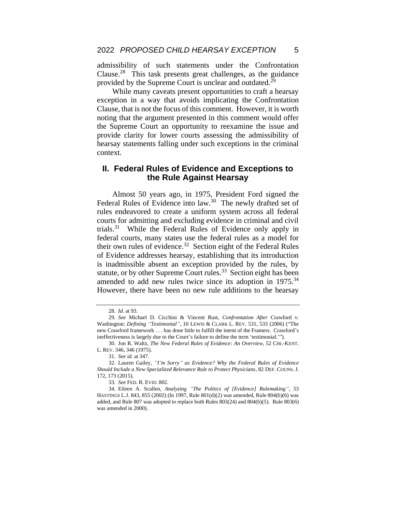admissibility of such statements under the Confrontation Clause.<sup>28</sup> This task presents great challenges, as the guidance provided by the Supreme Court is unclear and outdated.<sup>29</sup>

While many caveats present opportunities to craft a hearsay exception in a way that avoids implicating the Confrontation Clause, that is not the focus of this comment. However, it is worth noting that the argument presented in this comment would offer the Supreme Court an opportunity to reexamine the issue and provide clarity for lower courts assessing the admissibility of hearsay statements falling under such exceptions in the criminal context.

#### **II. Federal Rules of Evidence and Exceptions to the Rule Against Hearsay**

Almost 50 years ago, in 1975, President Ford signed the Federal Rules of Evidence into law.<sup>30</sup> The newly drafted set of rules endeavored to create a uniform system across all federal courts for admitting and excluding evidence in criminal and civil trials.<sup>31</sup> While the Federal Rules of Evidence only apply in federal courts, many states use the federal rules as a model for their own rules of evidence.<sup>32</sup> Section eight of the Federal Rules of Evidence addresses hearsay, establishing that its introduction is inadmissible absent an exception provided by the rules, by statute, or by other Supreme Court rules.<sup>33</sup> Section eight has been amended to add new rules twice since its adoption in 1975.<sup>34</sup> However, there have been no new rule additions to the hearsay

<sup>28</sup>*. Id.* at 93.

<sup>29</sup>*. See* Michael D. Cicchini & Vincent Rust, *Confrontation After* Crawford v. Washington: *Defining "Testimonial"*, 10 LEWIS & CLARK L. REV. 531, 533 (2006) ("The new Crawford framework . . . has done little to fulfill the intent of the Framers. Crawford's ineffectiveness is largely due to the Court's failure to define the term 'testimonial.'").

<sup>30.</sup> Jon R. Waltz, *The New Federal Rules of Evidence: An Overview*, 52 CHI.-KENT. L. REV. 346, 346 (1975).

<sup>31</sup>*. See id*. at 347.

<sup>32.</sup> Lauren Gailey, *"I'm Sorry" as Evidence? Why the Federal Rules of Evidence Should Include a New Specialized Relevance Rule to Protect Physicians*, 82 DEF. COUNS. J. 172, 173 (2015).

<sup>33</sup>*. See* FED. R. EVID. 802.

<sup>34.</sup> Eileen A. Scallen, *Analyzing "The Politics of [Evidence] Rulemaking"*, 53 HASTINGS L.J. 843, 855 (2002) (In 1997, Rule 801(d)(2) was amended, Rule 804(b)(6) was added, and Rule 807 was adopted to replace both Rules 803(24) and 804(b)(5). Rule 803(6) was amended in 2000).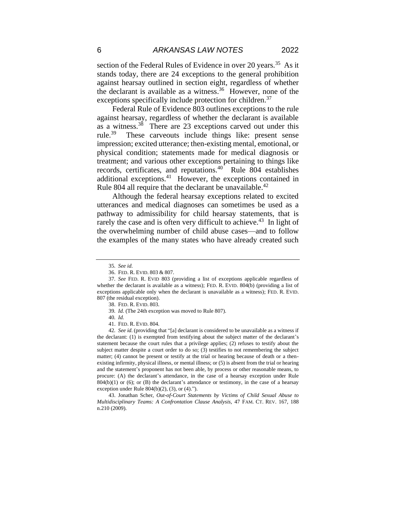section of the Federal Rules of Evidence in over 20 years.<sup>35</sup> As it stands today, there are 24 exceptions to the general prohibition against hearsay outlined in section eight, regardless of whether the declarant is available as a witness. <sup>36</sup> However, none of the exceptions specifically include protection for children.<sup>37</sup>

Federal Rule of Evidence 803 outlines exceptions to the rule against hearsay, regardless of whether the declarant is available as a witness. $38$  There are 23 exceptions carved out under this rule. $39$ These carveouts include things like: present sense impression; excited utterance; then-existing mental, emotional, or physical condition; statements made for medical diagnosis or treatment; and various other exceptions pertaining to things like records, certificates, and reputations.<sup>40</sup> Rule 804 establishes additional exceptions.<sup>41</sup> However, the exceptions contained in Rule 804 all require that the declarant be unavailable.<sup>42</sup>

Although the federal hearsay exceptions related to excited utterances and medical diagnoses can sometimes be used as a pathway to admissibility for child hearsay statements, that is rarely the case and is often very difficult to achieve.<sup>43</sup> In light of the overwhelming number of child abuse cases—and to follow the examples of the many states who have already created such

43. Jonathan Scher, *Out-of-Court Statements by Victims of Child Sexual Abuse to Multidisciplinary Teams: A Confrontation Clause Analysis,* 47 FAM. CT. REV. 167, 188 n.210 (2009).

<sup>35</sup>*. See id.*

<sup>36.</sup> FED. R. EVID. 803 & 807.

<sup>37</sup>*. See* FED. R. EVID 803 (providing a list of exceptions applicable regardless of whether the declarant is available as a witness); FED. R. EVID. 804(b) (providing a list of exceptions applicable only when the declarant is unavailable as a witness); FED. R. EVID. 807 (the residual exception).

<sup>38.</sup> FED. R. EVID. 803.

<sup>39</sup>*. Id.* (The 24th exception was moved to Rule 807).

<sup>40</sup>*. Id.*

<sup>41.</sup> FED. R. EVID. 804.

<sup>42</sup>*. See id.* (providing that "[a] declarant is considered to be unavailable as a witness if the declarant: (1) is exempted from testifying about the subject matter of the declarant's statement because the court rules that a privilege applies; (2) refuses to testify about the subject matter despite a court order to do so; (3) testifies to not remembering the subject matter; (4) cannot be present or testify at the trial or hearing because of death or a thenexisting infirmity, physical illness, or mental illness; or (5) is absent from the trial or hearing and the statement's proponent has not been able, by process or other reasonable means, to procure: (A) the declarant's attendance, in the case of a hearsay exception under Rule  $804(b)(1)$  or (6); or (B) the declarant's attendance or testimony, in the case of a hearsay exception under Rule  $804(b)(2)$ ,  $(3)$ , or  $(4)$ .").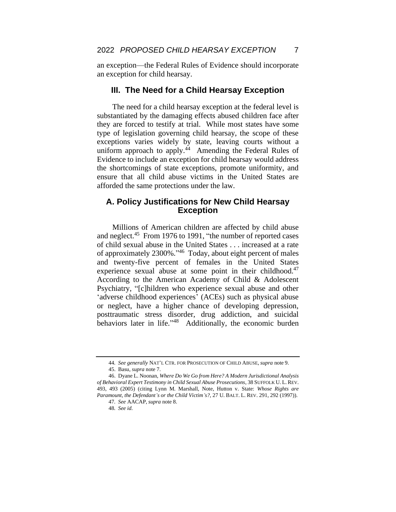an exception—the Federal Rules of Evidence should incorporate an exception for child hearsay.

#### **III. The Need for a Child Hearsay Exception**

The need for a child hearsay exception at the federal level is substantiated by the damaging effects abused children face after they are forced to testify at trial. While most states have some type of legislation governing child hearsay, the scope of these exceptions varies widely by state, leaving courts without a uniform approach to apply. $44$  Amending the Federal Rules of Evidence to include an exception for child hearsay would address the shortcomings of state exceptions, promote uniformity, and ensure that all child abuse victims in the United States are afforded the same protections under the law.

#### **A. Policy Justifications for New Child Hearsay Exception**

Millions of American children are affected by child abuse and neglect.<sup>45</sup> From 1976 to 1991, "the number of reported cases" of child sexual abuse in the United States . . . increased at a rate of approximately 2300%." <sup>46</sup> Today, about eight percent of males and twenty-five percent of females in the United States experience sexual abuse at some point in their childhood.<sup>47</sup> According to the American Academy of Child & Adolescent Psychiatry, "[c]hildren who experience sexual abuse and other 'adverse childhood experiences' (ACEs) such as physical abuse or neglect, have a higher chance of developing depression, posttraumatic stress disorder, drug addiction, and suicidal behaviors later in life."<sup>48</sup> Additionally, the economic burden

<sup>44</sup>*. See generally* NAT'L CTR. FOR PROSECUTION OF CHILD ABUSE, *supra* note 9.

<sup>45.</sup> Basu, *supra* note 7.

<sup>46.</sup> Dyane L. Noonan, *Where Do We Go from Here? A Modern Jurisdictional Analysis of Behavioral Expert Testimony in Child Sexual Abuse Prosecutions*, 38 SUFFOLK U. L. REV. 493, 493 (2005) (citing Lynn M. Marshall, Note, Hutton v. State: *Whose Rights are Paramount, the Defendant's or the Child Victim's?*, 27 U. BALT. L. REV. 291, 292 (1997)).

<sup>47</sup>*. See* AACAP, *supra* note 8.

<sup>48</sup>*. See id.*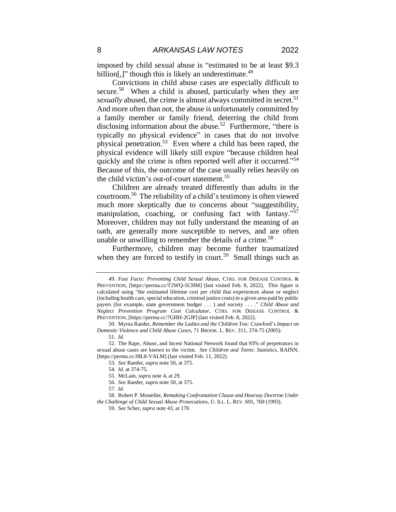imposed by child sexual abuse is "estimated to be at least \$9.3 billion[,]" though this is likely an underestimate.<sup>49</sup>

Convictions in child abuse cases are especially difficult to secure.<sup>50</sup> When a child is abused, particularly when they are *sexually* abused, the crime is almost always committed in secret.<sup>51</sup> And more often than not, the abuse is unfortunately committed by a family member or family friend, deterring the child from disclosing information about the abuse.<sup>52</sup> Furthermore, "there is typically no physical evidence" in cases that do not involve physical penetration. <sup>53</sup> Even where a child has been raped, the physical evidence will likely still expire "because children heal quickly and the crime is often reported well after it occurred."<sup>54</sup> Because of this, the outcome of the case usually relies heavily on the child victim's out-of-court statement.<sup>55</sup>

Children are already treated differently than adults in the courtroom. <sup>56</sup> The reliability of a child's testimony is often viewed much more skeptically due to concerns about "suggestibility, manipulation, coaching, or confusing fact with fantasy."<sup>57</sup> Moreover, children may not fully understand the meaning of an oath, are generally more susceptible to nerves, and are often unable or unwilling to remember the details of a crime.<sup>58</sup>

Furthermore, children may become further traumatized when they are forced to testify in court.<sup>59</sup> Small things such as

- 56*. See* Raeder, *supra* note 50, at 375.
- 57*. Id.*

<sup>49</sup>*. Fast Facts: Preventing Child Sexual Abuse*, CTRS. FOR DISEASE CONTROL & PREVENTION, [https://perma.cc/T2WQ-5CHM] (last visited Feb. 8, 2022). This figure is calculated using "the estimated lifetime cost per child that experiences abuse or neglect (including health care, special education, criminal justice costs) in a given area paid by public payers (for example, state government budget . . . ) and society . . . ." *Child Abuse and Neglect Prevention Program Cost Calculator*, CTRS. FOR DISEASE CONTROL & PREVENTION, [https://perma.cc/7GHH-2GJP] (last visited Feb. 8, 2022).

<sup>50.</sup> Myrna Raeder, *Remember the Ladies and the Children Too:* Crawford's *Impact on Domestic Violence and Child Abuse Cases*, 71 BROOK. L. REV. 311, 374-75 (2005).

<sup>51</sup>*. Id.*

<sup>52.</sup> The Rape, Abuse, and Incest National Network found that 93% of perpetrators in sexual abuse cases are known to the victim. *See Children and Teens: Statistics*, RAINN, [https://perma.cc/J8L8-VALM] (last visited Feb. 11, 2022).

<sup>53</sup>*. See* Raeder, *supra* note 50, at 375.

<sup>54</sup>*. Id.* at 374-75.

<sup>55.</sup> McLain, *supra* note 4, at 29.

<sup>58.</sup> Robert P. Mosteller, *Remaking Confrontation Clause and Hearsay Doctrine Under the Challenge of Child Sexual Abuse Prosecutions,* U. ILL. L. REV. 691, 769 (1993).

<sup>59</sup>*. See* Scher, *supra* note 43, at 170.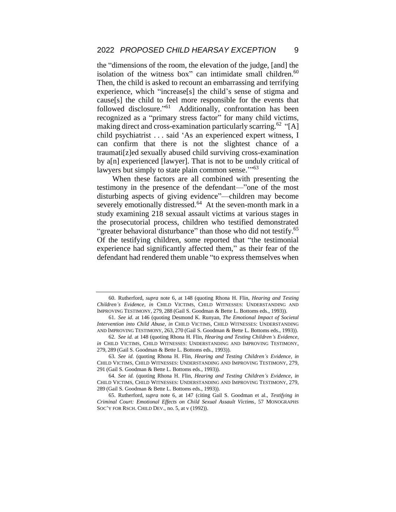the "dimensions of the room, the elevation of the judge, [and] the isolation of the witness box" can intimidate small children. $60$ Then, the child is asked to recount an embarrassing and terrifying experience, which "increase[s] the child's sense of stigma and cause[s] the child to feel more responsible for the events that followed disclosure."<sup>61</sup> Additionally, confrontation has been recognized as a "primary stress factor" for many child victims, making direct and cross-examination particularly scarring.<sup>62</sup> "[A] child psychiatrist . . . said 'As an experienced expert witness, I can confirm that there is not the slightest chance of a traumati[z]ed sexually abused child surviving cross-examination by a[n] experienced [lawyer]. That is not to be unduly critical of lawyers but simply to state plain common sense."<sup>63</sup>

When these factors are all combined with presenting the testimony in the presence of the defendant—"one of the most disturbing aspects of giving evidence"—children may become severely emotionally distressed.<sup>64</sup> At the seven-month mark in a study examining 218 sexual assault victims at various stages in the prosecutorial process, children who testified demonstrated "greater behavioral disturbance" than those who did not testify.<sup>65</sup> Of the testifying children, some reported that "the testimonial experience had significantly affected them," as their fear of the defendant had rendered them unable "to express themselves when

<sup>60.</sup> Rutherford, *supra* note 6, at 148 (quoting Rhona H. Flin, *Hearing and Testing Children's Evidence*, *in* CHILD VICTIMS, CHILD WITNESSES: UNDERSTANDING AND IMPROVING TESTIMONY, 279, 288 (Gail S. Goodman & Bette L. Bottoms eds., 1993)).

<sup>61</sup>*. See id.* at 146 (quoting Desmond K. Runyan, *The Emotional Impact of Societal Intervention into Child Abuse*, *in* CHILD VICTIMS, CHILD WITNESSES: UNDERSTANDING AND IMPROVING TESTIMONY, 263, 270 (Gail S. Goodman & Bette L. Bottoms eds., 1993)).

<sup>62</sup>*. See id.* at 148 (quoting Rhona H. Flin, *Hearing and Testing Children's Evidence*, *in* CHILD VICTIMS, CHILD WITNESSES: UNDERSTANDING AND IMPROVING TESTIMONY, 279, 289 (Gail S. Goodman & Bette L. Bottoms eds., 1993)).

<sup>63</sup>*. See id.* (quoting Rhona H. Flin, *Hearing and Testing Children's Evidence*, *in* CHILD VICTIMS, CHILD WITNESSES: UNDERSTANDING AND IMPROVING TESTIMONY, 279, 291 (Gail S. Goodman & Bette L. Bottoms eds., 1993)).

<sup>64</sup>*. See id.* (quoting Rhona H. Flin, *Hearing and Testing Children's Evidence*, *in* CHILD VICTIMS, CHILD WITNESSES: UNDERSTANDING AND IMPROVING TESTIMONY, 279, 289 (Gail S. Goodman & Bette L. Bottoms eds., 1993)).

<sup>65.</sup> Rutherford, *supra* note 6, at 147 (citing Gail S. Goodman et al., *Testifying in Criminal Court: Emotional Effects on Child Sexual Assault Victims*, 57 MONOGRAPHS SOC'Y FOR RSCH. CHILD DEV., no. 5, at v (1992)).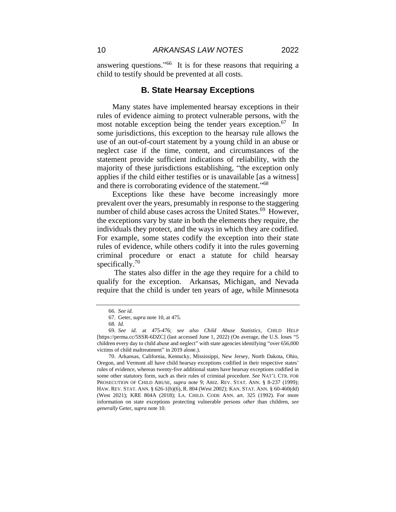answering questions." <sup>66</sup> It is for these reasons that requiring a child to testify should be prevented at all costs.

# **B. State Hearsay Exceptions**

Many states have implemented hearsay exceptions in their rules of evidence aiming to protect vulnerable persons, with the most notable exception being the tender years exception.<sup>67</sup> In some jurisdictions, this exception to the hearsay rule allows the use of an out-of-court statement by a young child in an abuse or neglect case if the time, content, and circumstances of the statement provide sufficient indications of reliability, with the majority of these jurisdictions establishing, "the exception only applies if the child either testifies or is unavailable [as a witness] and there is corroborating evidence of the statement." 68

Exceptions like these have become increasingly more prevalent over the years, presumably in response to the staggering number of child abuse cases across the United States.<sup>69</sup> However, the exceptions vary by state in both the elements they require, the individuals they protect, and the ways in which they are codified. For example, some states codify the exception into their state rules of evidence, while others codify it into the rules governing criminal procedure or enact a statute for child hearsay specifically.<sup>70</sup>

The states also differ in the age they require for a child to qualify for the exception. Arkansas, Michigan, and Nevada require that the child is under ten years of age, while Minnesota

70. Arkansas, California, Kentucky, Mississippi, New Jersey, North Dakota, Ohio, Oregon, and Vermont all have child hearsay exceptions codified in their respective states' rules of evidence, whereas twenty-five additional states have hearsay exceptions codified in some other statutory form, such as their rules of criminal procedure. *See* NAT'L CTR. FOR PROSECUTION OF CHILD ABUSE, *supra* note 9; ARIZ. REV. STAT. ANN. § 8-237 (1999); HAW. REV. STAT. ANN. § 626-1(b)(6), R. 804 (West 2002); KAN. STAT. ANN. § 60-460(dd) (West 2021); KRE 804A (2018); LA. CHILD. CODE ANN. art. 325 (1992). For more information on state exceptions protecting vulnerable persons *other* than children, *see generally* Geter, *supra* note 10.

<sup>66</sup>*. See id.* 

<sup>67.</sup> Geter, *supra* note 10, at 475.

<sup>68</sup>*. Id.*

<sup>69</sup>*. See id.* at 475-476; *see also Child Abuse Statistics*, CHILD HELP [https://perma.cc/5SSR-6DZC] (last accessed June 1, 2022) (On average, the U.S. loses "5 children every day to child abuse and neglect" with state agencies identifying "over 656,000 victims of child maltreatment" in 2019 alone.).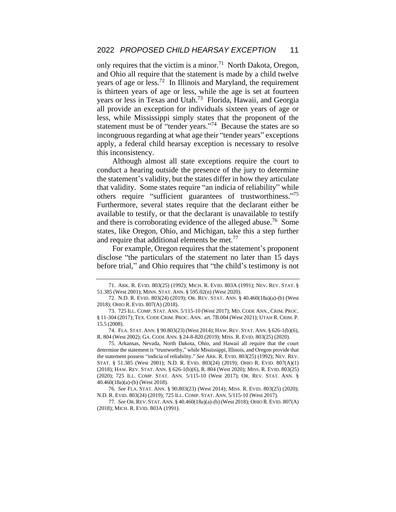only requires that the victim is a minor.<sup>71</sup> North Dakota, Oregon, and Ohio all require that the statement is made by a child twelve years of age or less.<sup>72</sup> In Illinois and Maryland, the requirement is thirteen years of age or less, while the age is set at fourteen years or less in Texas and Utah. <sup>73</sup> Florida, Hawaii, and Georgia all provide an exception for individuals sixteen years of age or less, while Mississippi simply states that the proponent of the statement must be of "tender years."<sup>74</sup> Because the states are so incongruous regarding at what age their "tender years" exceptions apply, a federal child hearsay exception is necessary to resolve this inconsistency.

Although almost all state exceptions require the court to conduct a hearing outside the presence of the jury to determine the statement's validity, but the states differ in how they articulate that validity. Some states require "an indicia of reliability" while others require "sufficient guarantees of trustworthiness."<sup>75</sup> Furthermore, several states require that the declarant either be available to testify, or that the declarant is unavailable to testify and there is corroborating evidence of the alleged abuse.<sup>76</sup> Some states, like Oregon, Ohio, and Michigan, take this a step further and require that additional elements be met.<sup>77</sup>

For example, Oregon requires that the statement's proponent disclose "the particulars of the statement no later than 15 days before trial," and Ohio requires that "the child's testimony is not

<sup>71.</sup> ARK. R. EVID. 803(25) (1992); MICH. R. EVID. 803A (1991); NEV. REV. STAT. § 51.385 (West 2001); MINN. STAT. ANN. § 595.02(n) (West 2020).

<sup>72.</sup> N.D. R. EVID. 803(24) (2019); OR. REV. STAT. ANN. § 40.460(18a)(a)-(b) (West 2018); OHIO R. EVID. 807(A) (2018).

<sup>73.</sup> 725 ILL. COMP. STAT. ANN. 5/115-10 (West 2017); MD. CODE ANN., CRIM. PROC. § 11-304 (2017); TEX. CODE CRIM. PROC. ANN. art. 7B.004 (West 2021); UTAH R. CRIM. P. 15.5 (2008).

<sup>74.</sup> FLA. STAT. ANN. § 90.803(23) (West 2014); HAW. REV. STAT. ANN. § 626-1(b)(6), R. 804 (West 2002); GA. CODE ANN. § 24-8-820 (2019); MISS. R. EVID. 803(25) (2020).

<sup>75.</sup> Arkansas, Nevada, North Dakota, Ohio, and Hawaii all require that the court determine the statement is "trustworthy," while Mississippi, Illinois, and Oregon provide that the statement possess "indicia of reliability." *See* ARK. R. EVID. 803(25) (1992); NEV. REV. STAT. § 51.385 (West 2001); N.D. R. EVID. 803(24) (2019); OHIO R. EVID. 807(A)(1) (2018); HAW. REV. STAT. ANN. § 626-1(b)(6), R. 804 (West 2020); MISS. R. EVID. 803(25) (2020); 725 ILL. COMP. STAT. ANN. 5/115-10 (West 2017); OR. REV. STAT. ANN. § 40.460(18a)(a)-(b) (West 2018).

<sup>76</sup>*. See* FLA. STAT. ANN. § 90.803(23) (West 2014); MISS. R. EVID. 803(25) (2020); N.D. R. EVID. 803(24) (2019); 725 ILL. COMP. STAT. ANN. 5/115-10 (West 2017).

<sup>77</sup>*. See* OR.REV. STAT. ANN. § 40.460(18a)(a)-(b) (West 2018); OHIO R. EVID. 807(A) (2018); MICH. R. EVID. 803A (1991).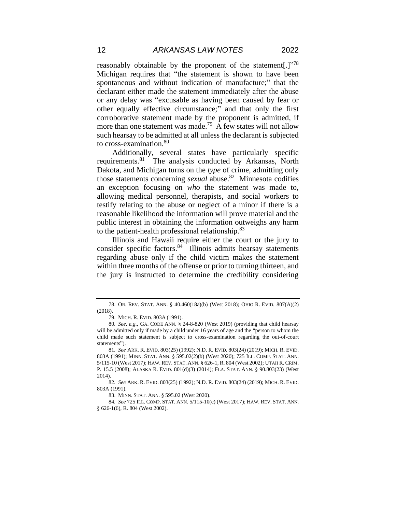reasonably obtainable by the proponent of the statement[.] $^{378}$ Michigan requires that "the statement is shown to have been spontaneous and without indication of manufacture;" that the declarant either made the statement immediately after the abuse or any delay was "excusable as having been caused by fear or other equally effective circumstance;" and that only the first corroborative statement made by the proponent is admitted, if more than one statement was made.<sup>79</sup> A few states will not allow such hearsay to be admitted at all unless the declarant is subjected to cross-examination.<sup>80</sup>

Additionally, several states have particularly specific requirements.<sup>81</sup> The analysis conducted by Arkansas, North Dakota, and Michigan turns on the *type* of crime, admitting only those statements concerning *sexual* abuse.<sup>82</sup> Minnesota codifies an exception focusing on *who* the statement was made to, allowing medical personnel, therapists, and social workers to testify relating to the abuse or neglect of a minor if there is a reasonable likelihood the information will prove material and the public interest in obtaining the information outweighs any harm to the patient-health professional relationship.<sup>83</sup>

Illinois and Hawaii require either the court or the jury to consider specific factors.<sup>84</sup> Illinois admits hearsay statements regarding abuse only if the child victim makes the statement within three months of the offense or prior to turning thirteen, and the jury is instructed to determine the credibility considering

<sup>78.</sup> OR. REV. STAT. ANN. § 40.460(18a)(b) (West 2018); OHIO R. EVID. 807(A)(2) (2018).

<sup>79.</sup> MICH. R. EVID. 803A (1991).

<sup>80</sup>*. See, e.g.*, GA. CODE ANN. § 24-8-820 (West 2019) (providing that child hearsay will be admitted only if made by a child under 16 years of age and the "person to whom the child made such statement is subject to cross-examination regarding the out-of-court statements").

<sup>81</sup>*. See* ARK. R. EVID. 803(25) (1992); N.D. R. EVID. 803(24) (2019); MICH. R. EVID. 803A (1991); MINN. STAT. ANN. § 595.02(2)(b) (West 2020); 725 ILL. COMP. STAT. ANN. 5/115-10 (West 2017); HAW. REV. STAT. ANN. § 626-1, R. 804 (West 2002); UTAH R. CRIM. P. 15.5 (2008); ALASKA R. EVID. 801(d)(3) (2014); FLA. STAT. ANN. § 90.803(23) (West 2014).

<sup>82</sup>*. See* ARK. R. EVID. 803(25) (1992); N.D. R. EVID. 803(24) (2019); MICH. R. EVID. 803A (1991).

<sup>83.</sup> MINN. STAT. ANN. § 595.02 (West 2020).

<sup>84</sup>*. See* 725 ILL. COMP. STAT. ANN. 5/115-10(c) (West 2017); HAW. REV. STAT. ANN. § 626-1(6), R. 804 (West 2002).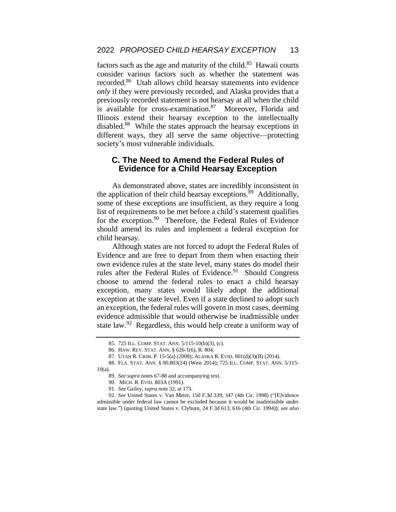factors such as the age and maturity of the child.<sup>85</sup> Hawaii courts consider various factors such as whether the statement was recorded.<sup>86</sup> Utah allows child hearsay statements into evidence *only* if they were previously recorded, and Alaska provides that a previously recorded statement is not hearsay at all when the child is available for cross-examination.<sup>87</sup> Moreover, Florida and Illinois extend their hearsay exception to the intellectually disabled.<sup>88</sup> While the states approach the hearsay exceptions in different ways, they all serve the same objective—protecting society's most vulnerable individuals.

## **C. The Need to Amend the Federal Rules of Evidence for a Child Hearsay Exception**

As demonstrated above, states are incredibly inconsistent in the application of their child hearsay exceptions.<sup>89</sup> Additionally, some of these exceptions are insufficient, as they require a long list of requirements to be met before a child's statement qualifies for the exception.<sup>90</sup> Therefore, the Federal Rules of Evidence should amend its rules and implement a federal exception for child hearsay.

Although states are not forced to adopt the Federal Rules of Evidence and are free to depart from them when enacting their own evidence rules at the state level, many states do model their rules after the Federal Rules of Evidence.<sup>91</sup> Should Congress choose to amend the federal rules to enact a child hearsay exception, many states would likely adopt the additional exception at the state level. Even if a state declined to adopt such an exception, the federal rules will govern in most cases, deeming evidence admissible that would otherwise be inadmissible under state law.<sup>92</sup> Regardless, this would help create a uniform way of

<sup>85.</sup> 725 ILL. COMP. STAT. ANN. 5/115-10(b)(3), (c).

<sup>86.</sup> HAW. REV. STAT. ANN. § 626-1(6), R. 804.

<sup>87.</sup> UTAH R. CRIM. P. 15-5(a) (2008); ALASKA R. EVID. 801(d)(3)(B) (2014).

<sup>88.</sup> FLA. STAT. ANN. § 90.803(24) (West 2014); 725 ILL. COMP. STAT. ANN. 5/115- 10(a).

<sup>89</sup>*. See supra* notes 67-88 and accompanying text.

<sup>90.</sup> MICH. R. EVID. 803A (1991).

<sup>91</sup>*. See* Gailey, *supra* note 32, at 173.

<sup>92</sup>*. See* United States v. Van Metre, 150 F.3d 339, 347 (4th Cir. 1998) ("[E]vidence admissible under federal law cannot be excluded because it would be inadmissible under state law.") (quoting United States v. Clyburn, 24 F.3d 613, 616 (4th Cir. 1994)); *see also*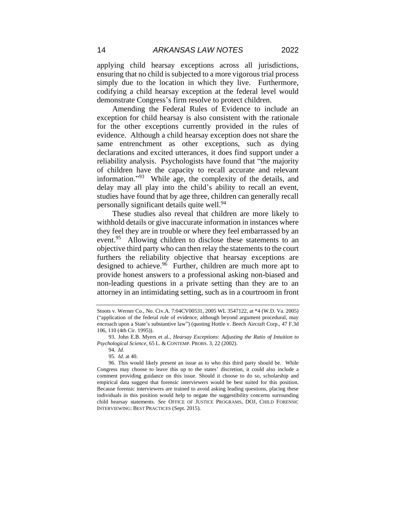applying child hearsay exceptions across all jurisdictions, ensuring that no child is subjected to a more vigorous trial process simply due to the location in which they live. Furthermore, codifying a child hearsay exception at the federal level would demonstrate Congress's firm resolve to protect children.

Amending the Federal Rules of Evidence to include an exception for child hearsay is also consistent with the rationale for the other exceptions currently provided in the rules of evidence. Although a child hearsay exception does not share the same entrenchment as other exceptions, such as dying declarations and excited utterances, it does find support under a reliability analysis. Psychologists have found that "the majority of children have the capacity to recall accurate and relevant information."<sup>93</sup> While age, the complexity of the details, and delay may all play into the child's ability to recall an event, studies have found that by age three, children can generally recall personally significant details quite well.<sup>94</sup>

These studies also reveal that children are more likely to withhold details or give inaccurate information in instances where they feel they are in trouble or where they feel embarrassed by an event.<sup>95</sup> Allowing children to disclose these statements to an objective third party who can then relay the statements to the court furthers the reliability objective that hearsay exceptions are designed to achieve.<sup>96</sup> Further, children are much more apt to provide honest answers to a professional asking non-biased and non-leading questions in a private setting than they are to an attorney in an intimidating setting, such as in a courtroom in front

Stoots v. Werner Co., No. Civ.A. 7:04CV00531, 2005 WL 3547122, at \*4 (W.D. Va. 2005) ("application of the federal rule of evidence, although beyond argument procedural, may encroach upon a State's substantive law") (quoting Hottle v. Beech Aircraft Corp., 47 F.3d 106, 110 (4th Cir. 1995)).

<sup>93.</sup> John E.B. Myers et al., *Hearsay Exceptions: Adjusting the Ratio of Intuition to Psychological Science*, 65 L. & CONTEMP. PROBS. 3, 22 (2002).

<sup>94</sup>*. Id.* 

<sup>95</sup>*. Id.* at 40.

<sup>96.</sup> This would likely present an issue as to who this third party should be. While Congress may choose to leave this up to the states' discretion, it could also include a comment providing guidance on this issue. Should it choose to do so, scholarship and empirical data suggest that forensic interviewers would be best suited for this position. Because forensic interviewers are trained to avoid asking leading questions, placing these individuals in this position would help to negate the suggestibility concerns surrounding child hearsay statements. *See* OFFICE OF JUSTICE PROGRAMS, DOJ, CHILD FORENSIC INTERVIEWING: BEST PRACTICES (Sept. 2015).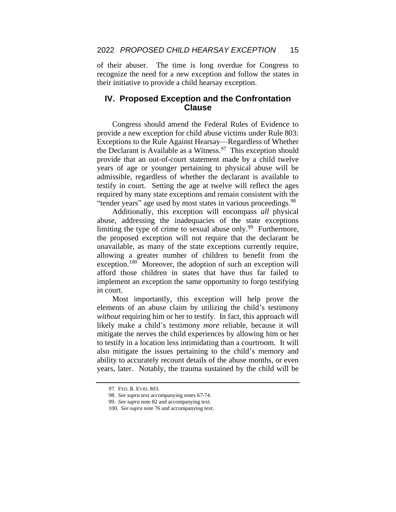of their abuser. The time is long overdue for Congress to recognize the need for a new exception and follow the states in their initiative to provide a child hearsay exception.

## **IV. Proposed Exception and the Confrontation Clause**

Congress should amend the Federal Rules of Evidence to provide a new exception for child abuse victims under Rule 803: Exceptions to the Rule Against Hearsay—Regardless of Whether the Declarant is Available as a Witness.<sup>97</sup> This exception should provide that an out-of-court statement made by a child twelve years of age or younger pertaining to physical abuse will be admissible, regardless of whether the declarant is available to testify in court. Setting the age at twelve will reflect the ages required by many state exceptions and remain consistent with the "tender years" age used by most states in various proceedings.<sup>98</sup>

Additionally, this exception will encompass *all* physical abuse, addressing the inadequacies of the state exceptions limiting the type of crime to sexual abuse only.<sup>99</sup> Furthermore, the proposed exception will not require that the declarant be unavailable, as many of the state exceptions currently require, allowing a greater number of children to benefit from the exception.<sup>100</sup> Moreover, the adoption of such an exception will afford those children in states that have thus far failed to implement an exception the same opportunity to forgo testifying in court.

Most importantly, this exception will help prove the elements of an abuse claim by utilizing the child's testimony *without* requiring him or her to testify. In fact, this approach will likely make a child's testimony *more* reliable, because it will mitigate the nerves the child experiences by allowing him or her to testify in a location less intimidating than a courtroom. It will also mitigate the issues pertaining to the child's memory and ability to accurately recount details of the abuse months, or even years, later. Notably, the trauma sustained by the child will be

<sup>97.</sup> FED. R. EVID. 803.

<sup>98</sup>*. See supra* text accompanying notes 67-74.

<sup>99</sup>*. See supra* note 82 and accompanying text.

<sup>100</sup>*. See supra* note 76 and accompanying text.